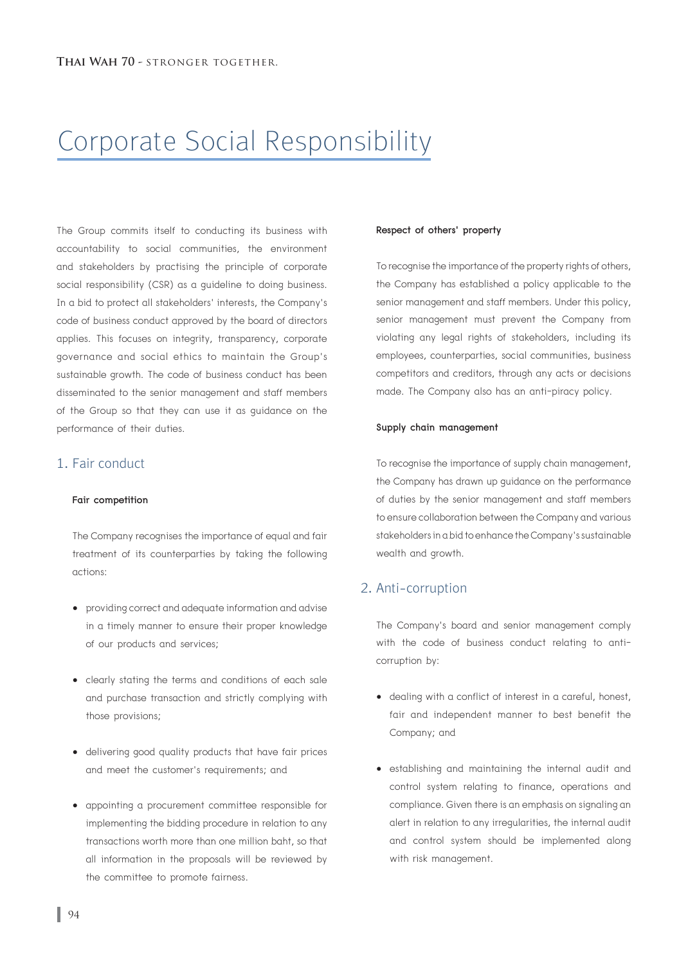# Corporate Social Responsibility

The Group commits itself to conducting its business with accountability to social communities, the environment and stakeholders by practising the principle of corporate social responsibility (CSR) as a guideline to doing business. In a bid to protect all stakeholders' interests, the Company's code of business conduct approved by the board of directors applies. This focuses on integrity, transparency, corporate governance and social ethics to maintain the Group's sustainable growth. The code of business conduct has been disseminated to the senior management and staff members of the Group so that they can use it as guidance on the performance of their duties.

## 1. Fair conduct

#### Fair competition

 The Company recognises the importance of equal and fair treatment of its counterparties by taking the following actions:

- providing correct and adequate information and advise in a timely manner to ensure their proper knowledge of our products and services;
- clearly stating the terms and conditions of each sale and purchase transaction and strictly complying with those provisions;
- delivering good quality products that have fair prices and meet the customer's requirements; and
- appointing a procurement committee responsible for implementing the bidding procedure in relation to any transactions worth more than one million baht, so that all information in the proposals will be reviewed by the committee to promote fairness.

## Respect of others' property

 To recognise the importance of the property rights of others, the Company has established a policy applicable to the senior management and staff members. Under this policy, senior management must prevent the Company from violating any legal rights of stakeholders, including its employees, counterparties, social communities, business competitors and creditors, through any acts or decisions made. The Company also has an anti-piracy policy.

#### Supply chain management

 To recognise the importance of supply chain management, the Company has drawn up guidance on the performance of duties by the senior management and staff members to ensure collaboration between the Company and various stakeholders in a bid to enhance the Company's sustainable wealth and growth.

## 2. Anti-corruption

 The Company's board and senior management comply with the code of business conduct relating to anti corruption by:

- dealing with a conflict of interest in a careful, honest, fair and independent manner to best benefit the Company; and
- establishing and maintaining the internal audit and control system relating to finance, operations and compliance. Given there is an emphasis on signaling an alert in relation to any irregularities, the internal audit and control system should be implemented along with risk management.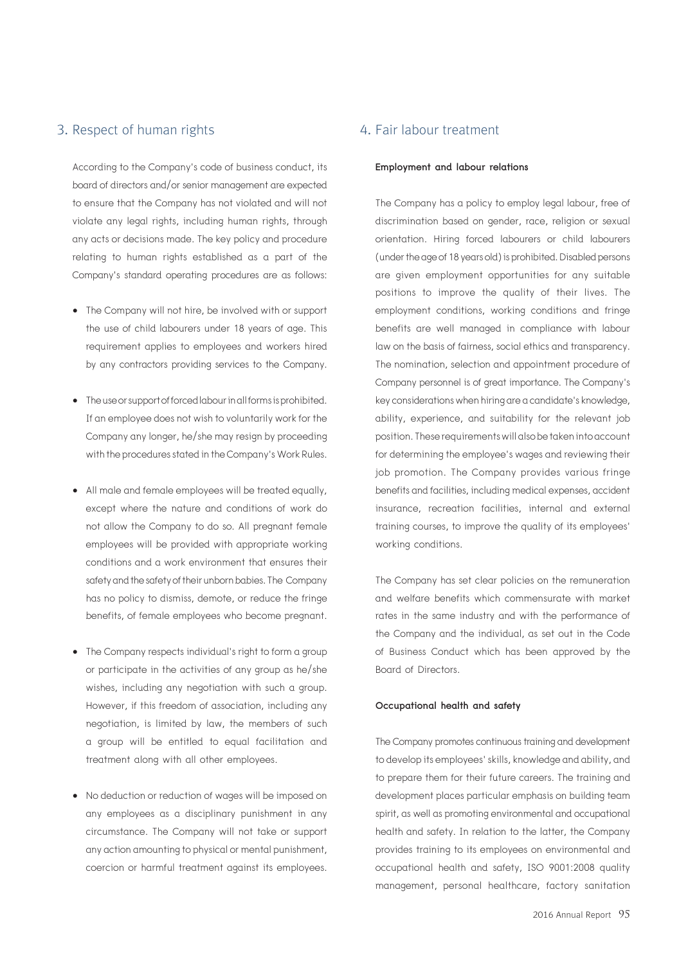## 3. Respect of human rights

 According to the Company's code of business conduct, its board of directors and/or senior management are expected to ensure that the Company has not violated and will not violate any legal rights, including human rights, through any acts or decisions made. The key policy and procedure relating to human rights established as a part of the Company's standard operating procedures are as follows:

- The Company will not hire, be involved with or support the use of child labourers under 18 years of age. This requirement applies to employees and workers hired by any contractors providing services to the Company.
- The use or support of forced labour in all forms is prohibited. If an employee does not wish to voluntarily work for the Company any longer, he/she may resign by proceeding with the procedures stated in the Company's Work Rules.
- All male and female employees will be treated equally, except where the nature and conditions of work do not allow the Company to do so. All pregnant female employees will be provided with appropriate working conditions and a work environment that ensures their safety and the safety of their unborn babies. The Company has no policy to dismiss, demote, or reduce the fringe benefits, of female employees who become pregnant.
- The Company respects individual's right to form a group or participate in the activities of any group as he/she wishes, including any negotiation with such a group. However, if this freedom of association, including any negotiation, is limited by law, the members of such a group will be entitled to equal facilitation and treatment along with all other employees.
- No deduction or reduction of wages will be imposed on any employees as a disciplinary punishment in any circumstance. The Company will not take or support any action amounting to physical or mental punishment, coercion or harmful treatment against its employees.

## 4. Fair labour treatment

#### Employment and labour relations

 The Company has a policy to employ legal labour, free of discrimination based on gender, race, religion or sexual orientation. Hiring forced labourers or child labourers (under the age of 18 years old) is prohibited. Disabled persons are given employment opportunities for any suitable positions to improve the quality of their lives. The employment conditions, working conditions and fringe benefits are well managed in compliance with labour law on the basis of fairness, social ethics and transparency. The nomination, selection and appointment procedure of Company personnel is of great importance. The Company's key considerations when hiring are a candidate's knowledge, ability, experience, and suitability for the relevant job position. These requirements will also be taken into account for determining the employee's wages and reviewing their job promotion. The Company provides various fringe benefits and facilities, including medical expenses, accident insurance, recreation facilities, internal and external training courses, to improve the quality of its employees' working conditions.

 The Company has set clear policies on the remuneration and welfare benefits which commensurate with market rates in the same industry and with the performance of the Company and the individual, as set out in the Code of Business Conduct which has been approved by the Board of Directors.

#### Occupational health and safety

 The Company promotes continuous training and development to develop its employees' skills, knowledge and ability, and to prepare them for their future careers. The training and development places particular emphasis on building team spirit, as well as promoting environmental and occupational health and safety. In relation to the latter, the Company provides training to its employees on environmental and occupational health and safety, ISO 9001:2008 quality management, personal healthcare, factory sanitation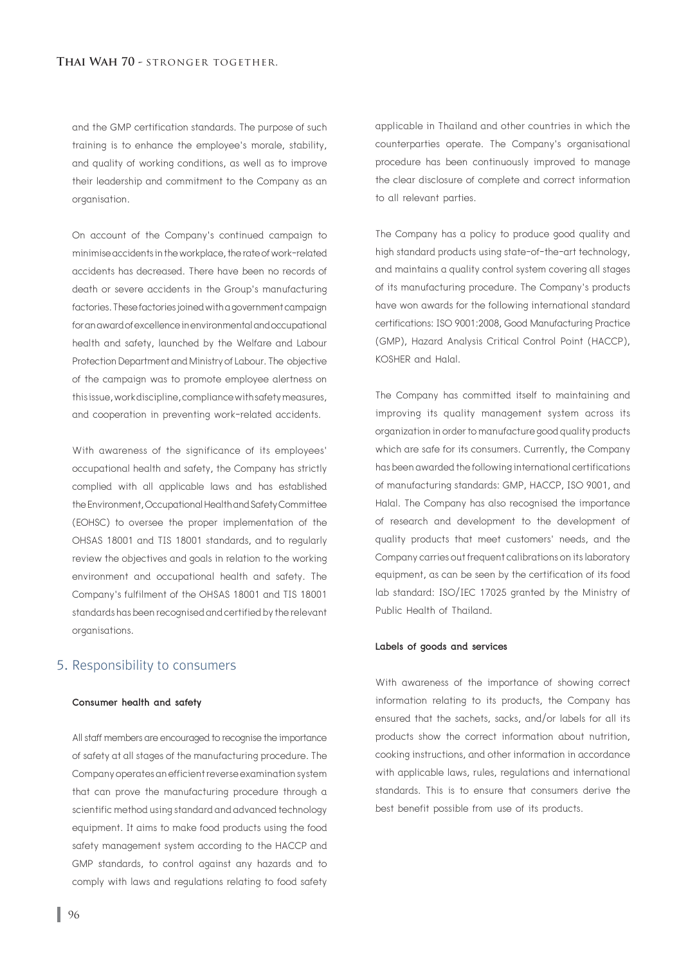and the GMP certification standards. The purpose of such training is to enhance the employee's morale, stability, and quality of working conditions, as well as to improve their leadership and commitment to the Company as an organisation.

 On account of the Company's continued campaign to minimise accidents in the workplace, the rate of work-related accidents has decreased. There have been no records of death or severe accidents in the Group's manufacturing factories. These factories joined with a government campaign for an award of excellence in environmental and occupational health and safety, launched by the Welfare and Labour Protection Department and Ministry of Labour. The objective of the campaign was to promote employee alertness on this issue, work discipline, compliance with safety measures, and cooperation in preventing work-related accidents.

 With awareness of the significance of its employees' occupational health and safety, the Company has strictly complied with all applicable laws and has established the Environment, Occupational Health and Safety Committee (EOHSC) to oversee the proper implementation of the OHSAS 18001 and TIS 18001 standards, and to regularly review the objectives and goals in relation to the working environment and occupational health and safety. The Company's fulfilment of the OHSAS 18001 and TIS 18001 standards has been recognised and certified by the relevant organisations.

## 5. Responsibility to consumers

## Consumer health and safety

 All staff members are encouraged to recognise the importance of safety at all stages of the manufacturing procedure. The Company operates an efficient reverse examination system that can prove the manufacturing procedure through a scientific method using standard and advanced technology equipment. It aims to make food products using the food safety management system according to the HACCP and GMP standards, to control against any hazards and to comply with laws and regulations relating to food safety

 applicable in Thailand and other countries in which the counterparties operate. The Company's organisational procedure has been continuously improved to manage the clear disclosure of complete and correct information to all relevant parties.

 The Company has a policy to produce good quality and high standard products using state-of-the-art technology, and maintains a quality control system covering all stages of its manufacturing procedure. The Company's products have won awards for the following international standard certifications: ISO 9001:2008, Good Manufacturing Practice (GMP), Hazard Analysis Critical Control Point (HACCP), KOSHER and Halal.

 The Company has committed itself to maintaining and improving its quality management system across its organization in order to manufacture good quality products which are safe for its consumers. Currently, the Company has been awarded the following international certifications of manufacturing standards: GMP, HACCP, ISO 9001, and Halal. The Company has also recognised the importance of research and development to the development of quality products that meet customers' needs, and the Company carries out frequent calibrations on its laboratory equipment, as can be seen by the certification of its food lab standard: ISO/IEC 17025 granted by the Ministry of Public Health of Thailand.

#### Labels of goods and services

 With awareness of the importance of showing correct information relating to its products, the Company has ensured that the sachets, sacks, and/or labels for all its products show the correct information about nutrition, cooking instructions, and other information in accordance with applicable laws, rules, regulations and international standards. This is to ensure that consumers derive the best benefit possible from use of its products.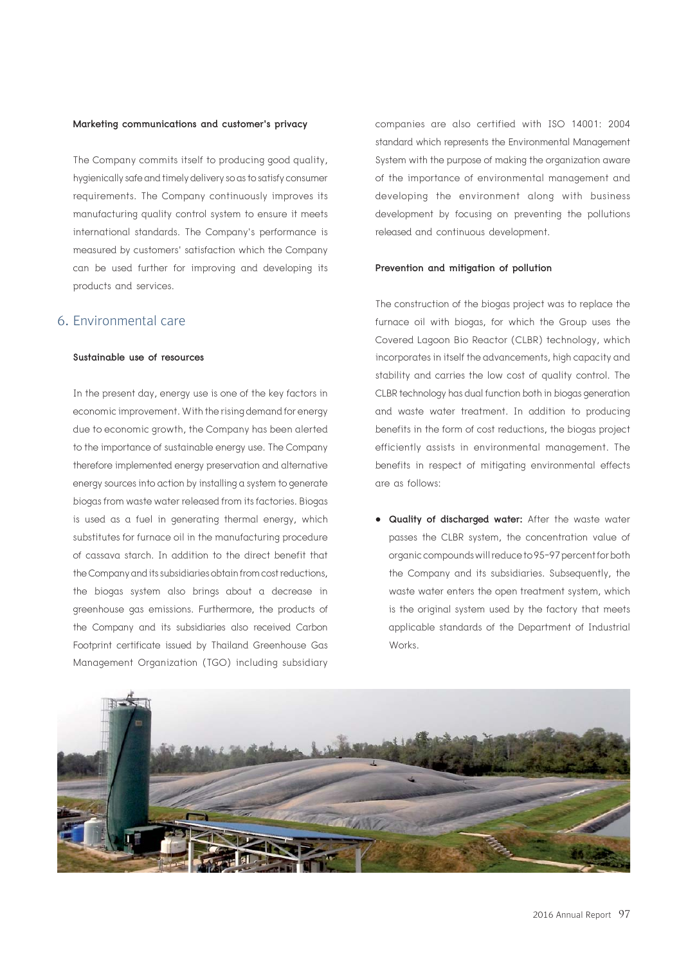#### Marketing communications and customer's privacy

 The Company commits itself to producing good quality, hygienically safe and timely delivery so as to satisfy consumer requirements. The Company continuously improves its manufacturing quality control system to ensure it meets international standards. The Company's performance is measured by customers' satisfaction which the Company can be used further for improving and developing its products and services.

## 6. Environmental care

#### Sustainable use of resources

 In the present day, energy use is one of the key factors in economic improvement. With the rising demand for energy due to economic growth, the Company has been alerted to the importance of sustainable energy use. The Company therefore implemented energy preservation and alternative energy sources into action by installing a system to generate biogas from waste water released from its factories. Biogas is used as a fuel in generating thermal energy, which substitutes for furnace oil in the manufacturing procedure of cassava starch. In addition to the direct benefit that the Company and its subsidiaries obtain from cost reductions, the biogas system also brings about a decrease in greenhouse gas emissions. Furthermore, the products of the Company and its subsidiaries also received Carbon Footprint certificate issued by Thailand Greenhouse Gas Management Organization (TGO) including subsidiary  companies are also certified with ISO 14001: 2004 standard which represents the Environmental Management System with the purpose of making the organization aware of the importance of environmental management and developing the environment along with business development by focusing on preventing the pollutions released and continuous development.

#### Prevention and mitigation of pollution

 The construction of the biogas project was to replace the furnace oil with biogas, for which the Group uses the Covered Lagoon Bio Reactor (CLBR) technology, which incorporates in itself the advancements, high capacity and stability and carries the low cost of quality control. The CLBR technology has dual function both in biogas generation and waste water treatment. In addition to producing benefits in the form of cost reductions, the biogas project efficiently assists in environmental management. The benefits in respect of mitigating environmental effects are as follows:

• Quality of discharged water: After the waste water passes the CLBR system, the concentration value of organic compounds will reduce to 95-97 percent for both the Company and its subsidiaries. Subsequently, the waste water enters the open treatment system, which is the original system used by the factory that meets applicable standards of the Department of Industrial Works.

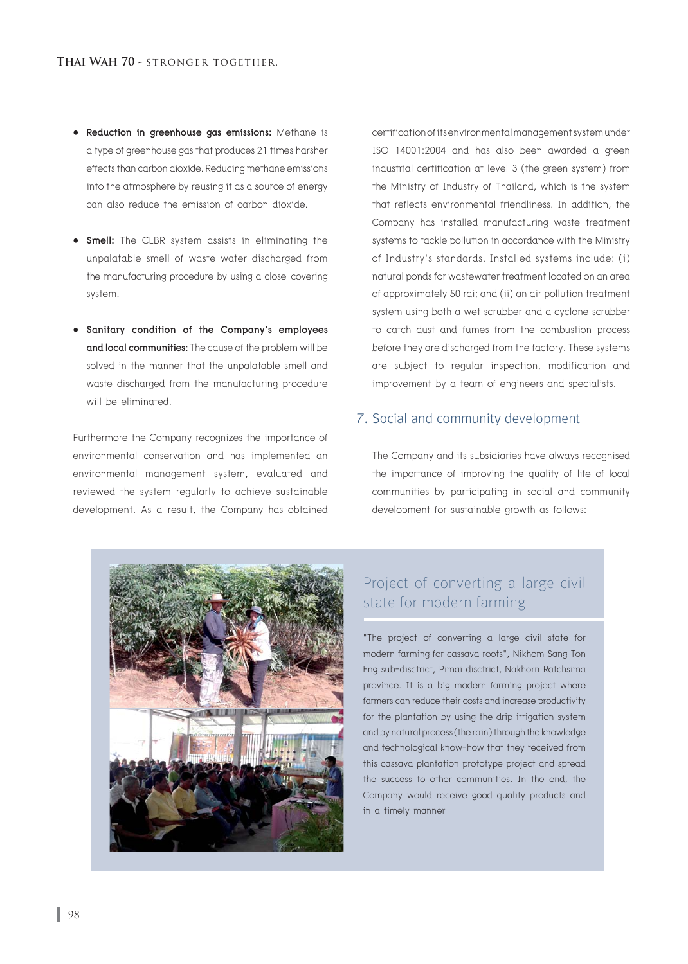- Reduction in greenhouse gas emissions: Methane is a type of greenhouse gas that produces 21 times harsher effects than carbon dioxide. Reducing methane emissions into the atmosphere by reusing it as a source of energy can also reduce the emission of carbon dioxide.
- Smell: The CLBR system assists in eliminating the unpalatable smell of waste water discharged from the manufacturing procedure by using a close-covering system.
- Sanitary condition of the Company's employees and local communities: The cause of the problem will be solved in the manner that the unpalatable smell and waste discharged from the manufacturing procedure will be eliminated.

 Furthermore the Company recognizes the importance of environmental conservation and has implemented an environmental management system, evaluated and reviewed the system regularly to achieve sustainable development. As a result, the Company has obtained

 certification of its environmental management system under ISO 14001:2004 and has also been awarded a green industrial certification at level 3 (the green system) from the Ministry of Industry of Thailand, which is the system that reflects environmental friendliness. In addition, the Company has installed manufacturing waste treatment systems to tackle pollution in accordance with the Ministry of Industry's standards. Installed systems include: (i) natural ponds for wastewater treatment located on an area of approximately 50 rai; and (ii) an air pollution treatment system using both a wet scrubber and a cyclone scrubber to catch dust and fumes from the combustion process before they are discharged from the factory. These systems are subject to regular inspection, modification and improvement by a team of engineers and specialists.

## 7. Social and community development

 The Company and its subsidiaries have always recognised the importance of improving the quality of life of local communities by participating in social and community development for sustainable growth as follows:



# Project of converting a large civil state for modern farming

"The project of converting a large civil state for modern farming for cassava roots", Nikhom Sang Ton Eng sub-disctrict, Pimai disctrict, Nakhorn Ratchsima province. It is a big modern farming project where farmers can reduce their costs and increase productivity for the plantation by using the drip irrigation system and by natural process (the rain) through the knowledge and technological know-how that they received from this cassava plantation prototype project and spread the success to other communities. In the end, the Company would receive good quality products and in a timely manner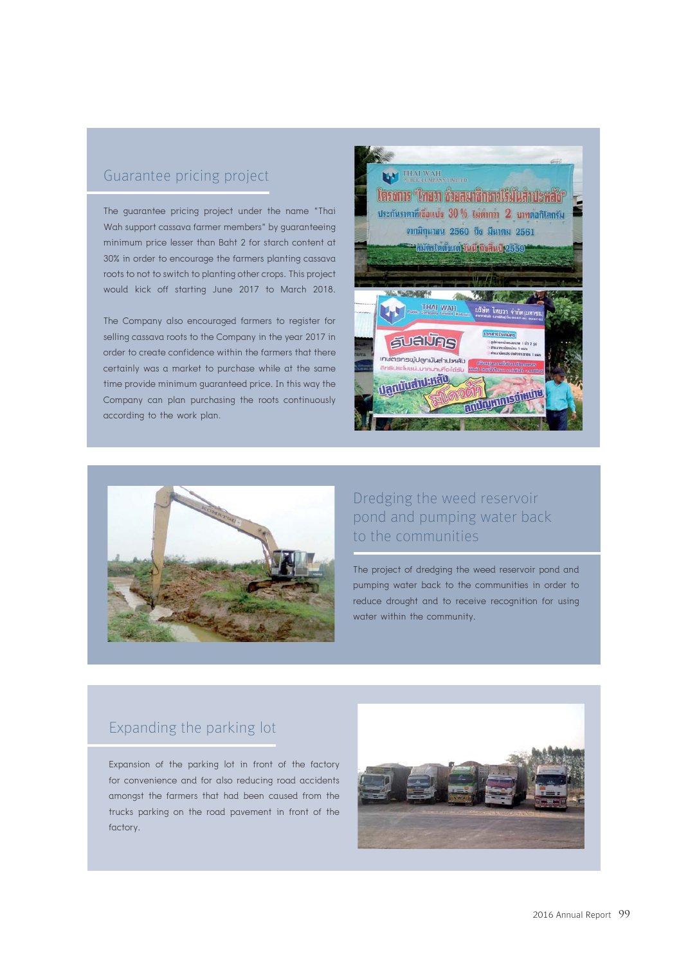## Guarantee pricing project

The guarantee pricing project under the name "Thai Wah support cassava farmer members" by guaranteeing minimum price lesser than Baht 2 for starch content at 30% in order to encourage the farmers planting cassava roots to not to switch to planting other crops. This project would kick off starting June 2017 to March 2018.

The Company also encouraged farmers to register for selling cassava roots to the Company in the year 2017 in order to create confidence within the farmers that there certainly was a market to purchase while at the same time provide minimum guaranteed price. In this way the Company can plan purchasing the roots continuously according to the work plan.





# Dredging the weed reservoir pond and pumping water back to the communities

The project of dredging the weed reservoir pond and pumping water back to the communities in order to reduce drought and to receive recognition for using water within the community.

# Expanding the parking lot

Expansion of the parking lot in front of the factory for convenience and for also reducing road accidents amongst the farmers that had been caused from the trucks parking on the road pavement in front of the factory.

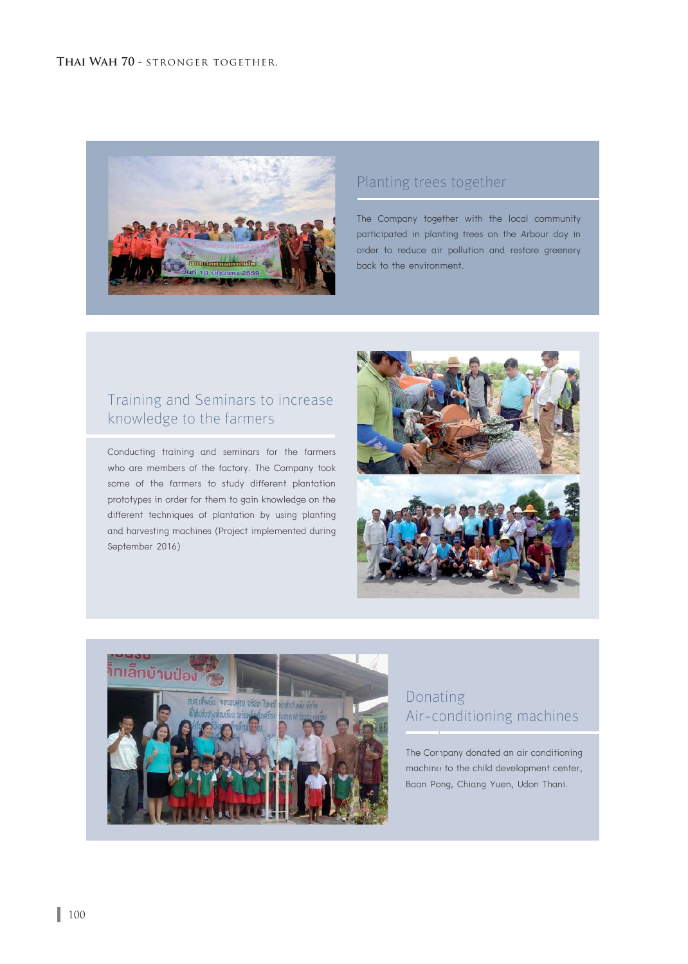

# Planting trees together

The Company together with the local community participated in planting trees on the Arbour day in order to reduce air pollution and restore greenery back to the environment.

# Training and Seminars to increase knowledge to the farmers

Conducting training and seminars for the farmers who are members of the factory. The Company took some of the farmers to study different plantation prototypes in order for them to gain knowledge on the different techniques of plantation by using planting and harvesting machines (Project implemented during September 2016)





# Donating Air-conditioning machines

The Cornpany donated an air conditioning machine to the child development center, Baan Pong, Chiang Yuen, Udon Thani.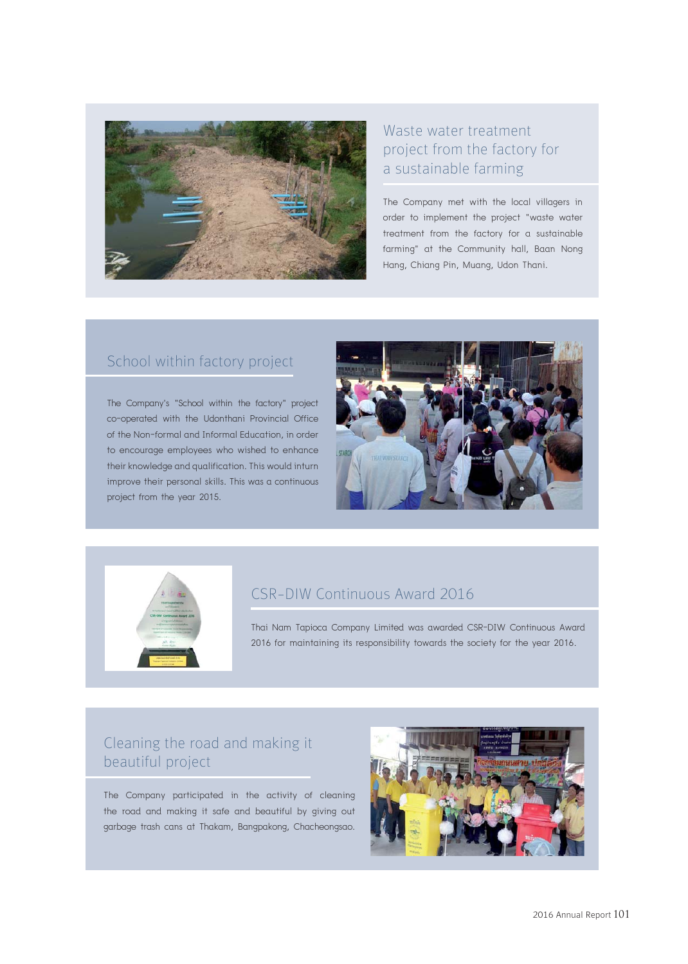

# Waste water treatment project from the factory for a sustainable farming

The Company met with the local villagers in order to implement the project "waste water treatment from the factory for a sustainable farming" at the Community hall, Baan Nong Hang, Chiang Pin, Muang, Udon Thani.

# School within factory project

The Company's "School within the factory" project co-operated with the Udonthani Provincial Office of the Non-formal and Informal Education, in order to encourage employees who wished to enhance their knowledge and qualification. This would inturn improve their personal skills. This was a continuous project from the year 2015.





## CSR-DIW Continuous Award 2016

Thai Nam Tapioca Company Limited was awarded CSR-DIW Continuous Award 2016 for maintaining its responsibility towards the society for the year 2016.

# Cleaning the road and making it beautiful project

The Company participated in the activity of cleaning the road and making it safe and beautiful by giving out garbage trash cans at Thakam, Bangpakong, Chacheongsao.